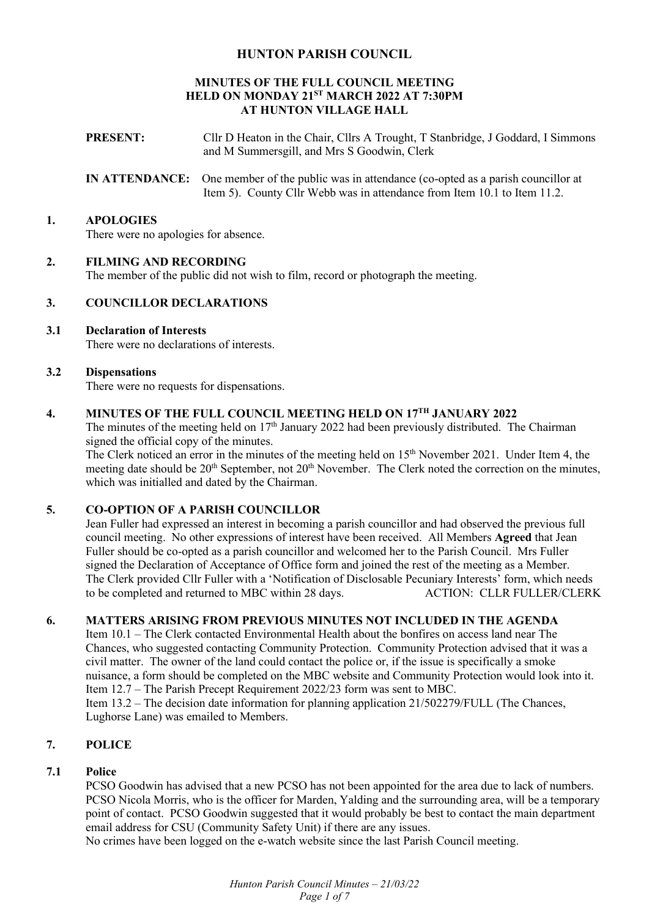## **HUNTON PARISH COUNCIL**

### **MINUTES OF THE FULL COUNCIL MEETING HELD ON MONDAY 21ST MARCH 2022 AT 7:30PM AT HUNTON VILLAGE HALL**

- **PRESENT:** Cllr D Heaton in the Chair, Cllrs A Trought, T Stanbridge, J Goddard, I Simmons and M Summersgill, and Mrs S Goodwin, Clerk
- **IN ATTENDANCE:** One member of the public was in attendance (co-opted as a parish councillor at Item 5). County Cllr Webb was in attendance from Item 10.1 to Item 11.2.

### **1. APOLOGIES**

There were no apologies for absence.

### **2. FILMING AND RECORDING**

The member of the public did not wish to film, record or photograph the meeting.

### **3. COUNCILLOR DECLARATIONS**

## **3.1 Declaration of Interests**

There were no declarations of interests.

#### **3.2 Dispensations**

There were no requests for dispensations.

# **4. MINUTES OF THE FULL COUNCIL MEETING HELD ON 17TH JANUARY 2022**

The minutes of the meeting held on  $17<sup>th</sup>$  January 2022 had been previously distributed. The Chairman signed the official copy of the minutes.

The Clerk noticed an error in the minutes of the meeting held on 15<sup>th</sup> November 2021. Under Item 4, the meeting date should be 20<sup>th</sup> September, not 20<sup>th</sup> November. The Clerk noted the correction on the minutes, which was initialled and dated by the Chairman.

## **5. CO-OPTION OF A PARISH COUNCILLOR**

Jean Fuller had expressed an interest in becoming a parish councillor and had observed the previous full council meeting. No other expressions of interest have been received. All Members **Agreed** that Jean Fuller should be co-opted as a parish councillor and welcomed her to the Parish Council. Mrs Fuller signed the Declaration of Acceptance of Office form and joined the rest of the meeting as a Member. The Clerk provided Cllr Fuller with a 'Notification of Disclosable Pecuniary Interests' form, which needs<br>to be completed and returned to MBC within 28 days. ACTION: CLLR FULLER/CLERK to be completed and returned to MBC within 28 days.

## **6. MATTERS ARISING FROM PREVIOUS MINUTES NOT INCLUDED IN THE AGENDA**

Item 10.1 – The Clerk contacted Environmental Health about the bonfires on access land near The Chances, who suggested contacting Community Protection. Community Protection advised that it was a civil matter. The owner of the land could contact the police or, if the issue is specifically a smoke nuisance, a form should be completed on the MBC website and Community Protection would look into it. Item 12.7 – The Parish Precept Requirement 2022/23 form was sent to MBC. Item 13.2 – The decision date information for planning application 21/502279/FULL (The Chances,

Lughorse Lane) was emailed to Members.

## **7. POLICE**

## **7.1 Police**

PCSO Goodwin has advised that a new PCSO has not been appointed for the area due to lack of numbers. PCSO Nicola Morris, who is the officer for Marden, Yalding and the surrounding area, will be a temporary point of contact. PCSO Goodwin suggested that it would probably be best to contact the main department email address for CSU (Community Safety Unit) if there are any issues.

No crimes have been logged on the e-watch website since the last Parish Council meeting.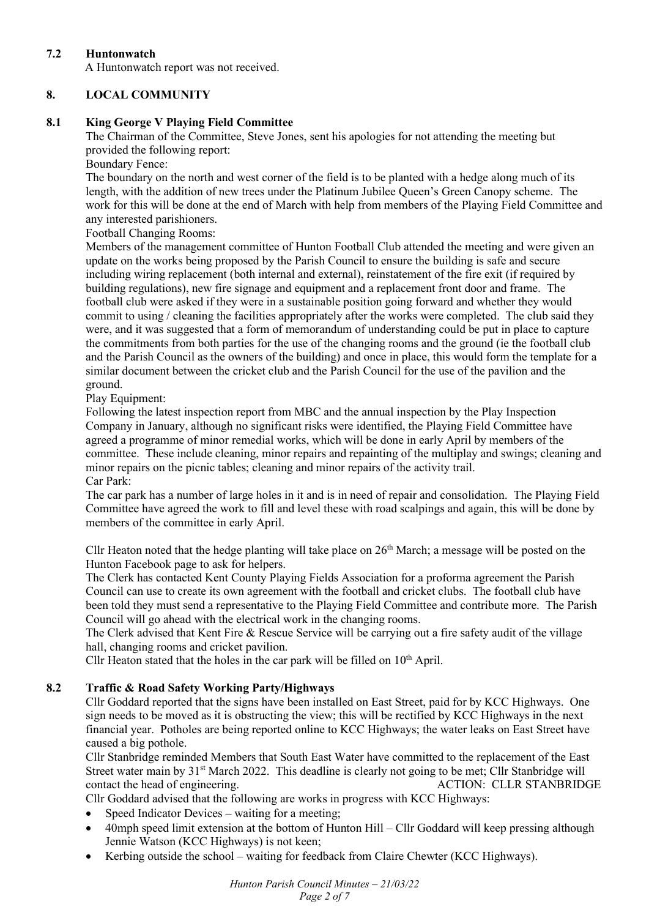## **7.2 Huntonwatch**

A Huntonwatch report was not received.

## **8. LOCAL COMMUNITY**

## **8.1 King George V Playing Field Committee**

The Chairman of the Committee, Steve Jones, sent his apologies for not attending the meeting but provided the following report:

Boundary Fence:

The boundary on the north and west corner of the field is to be planted with a hedge along much of its length, with the addition of new trees under the Platinum Jubilee Queen's Green Canopy scheme. The work for this will be done at the end of March with help from members of the Playing Field Committee and any interested parishioners.

Football Changing Rooms:

Members of the management committee of Hunton Football Club attended the meeting and were given an update on the works being proposed by the Parish Council to ensure the building is safe and secure including wiring replacement (both internal and external), reinstatement of the fire exit (if required by building regulations), new fire signage and equipment and a replacement front door and frame. The football club were asked if they were in a sustainable position going forward and whether they would commit to using / cleaning the facilities appropriately after the works were completed. The club said they were, and it was suggested that a form of memorandum of understanding could be put in place to capture the commitments from both parties for the use of the changing rooms and the ground (ie the football club and the Parish Council as the owners of the building) and once in place, this would form the template for a similar document between the cricket club and the Parish Council for the use of the pavilion and the ground.

Play Equipment:

Following the latest inspection report from MBC and the annual inspection by the Play Inspection Company in January, although no significant risks were identified, the Playing Field Committee have agreed a programme of minor remedial works, which will be done in early April by members of the committee. These include cleaning, minor repairs and repainting of the multiplay and swings; cleaning and minor repairs on the picnic tables; cleaning and minor repairs of the activity trail. Car Park:

The car park has a number of large holes in it and is in need of repair and consolidation. The Playing Field Committee have agreed the work to fill and level these with road scalpings and again, this will be done by members of the committee in early April.

Cllr Heaton noted that the hedge planting will take place on  $26<sup>th</sup>$  March; a message will be posted on the Hunton Facebook page to ask for helpers.

The Clerk has contacted Kent County Playing Fields Association for a proforma agreement the Parish Council can use to create its own agreement with the football and cricket clubs. The football club have been told they must send a representative to the Playing Field Committee and contribute more. The Parish Council will go ahead with the electrical work in the changing rooms.

The Clerk advised that Kent Fire & Rescue Service will be carrying out a fire safety audit of the village hall, changing rooms and cricket pavilion.

Cllr Heaton stated that the holes in the car park will be filled on  $10<sup>th</sup>$  April.

## **8.2 Traffic & Road Safety Working Party/Highways**

Cllr Goddard reported that the signs have been installed on East Street, paid for by KCC Highways. One sign needs to be moved as it is obstructing the view; this will be rectified by KCC Highways in the next financial year. Potholes are being reported online to KCC Highways; the water leaks on East Street have caused a big pothole.

Cllr Stanbridge reminded Members that South East Water have committed to the replacement of the East Street water main by 31<sup>st</sup> March 2022. This deadline is clearly not going to be met; Cllr Stanbridge will contact the head of engineering. ACTION: CLLR STANBRIDGE

Cllr Goddard advised that the following are works in progress with KCC Highways:

- Speed Indicator Devices waiting for a meeting;
- 40mph speed limit extension at the bottom of Hunton Hill Cllr Goddard will keep pressing although Jennie Watson (KCC Highways) is not keen;
- Kerbing outside the school waiting for feedback from Claire Chewter (KCC Highways).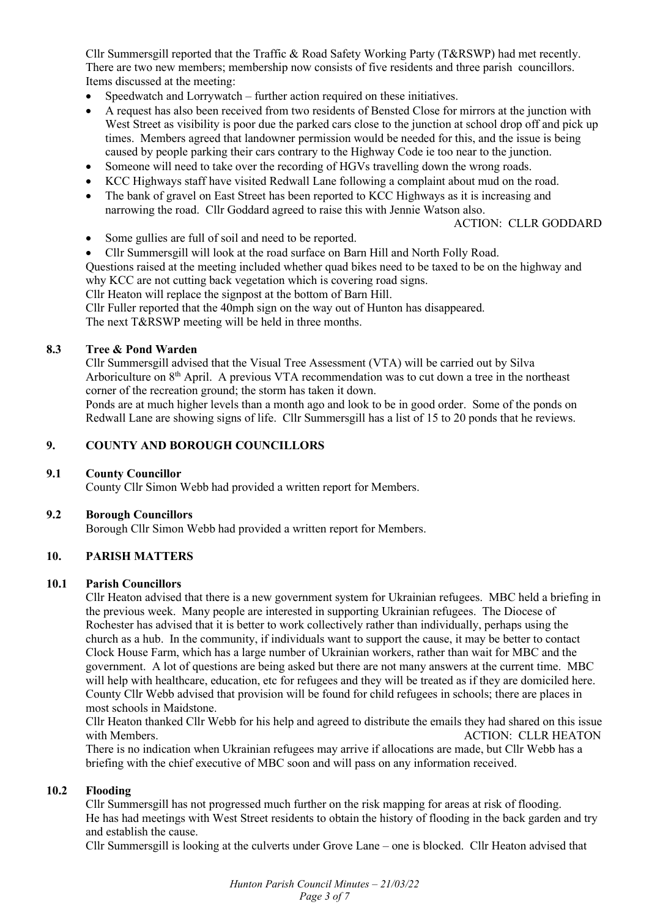Cllr Summersgill reported that the Traffic & Road Safety Working Party (T&RSWP) had met recently. There are two new members; membership now consists of five residents and three parish councillors. Items discussed at the meeting:

- Speedwatch and Lorrywatch further action required on these initiatives.
- A request has also been received from two residents of Bensted Close for mirrors at the junction with West Street as visibility is poor due the parked cars close to the junction at school drop off and pick up times. Members agreed that landowner permission would be needed for this, and the issue is being caused by people parking their cars contrary to the Highway Code ie too near to the junction.
- Someone will need to take over the recording of HGVs travelling down the wrong roads.
- KCC Highways staff have visited Redwall Lane following a complaint about mud on the road.
- The bank of gravel on East Street has been reported to KCC Highways as it is increasing and narrowing the road. Cllr Goddard agreed to raise this with Jennie Watson also.

#### ACTION: CLLR GODDARD

- Some gullies are full of soil and need to be reported.
- Cllr Summersgill will look at the road surface on Barn Hill and North Folly Road.

Questions raised at the meeting included whether quad bikes need to be taxed to be on the highway and why KCC are not cutting back vegetation which is covering road signs.

Cllr Heaton will replace the signpost at the bottom of Barn Hill.

Cllr Fuller reported that the 40mph sign on the way out of Hunton has disappeared.

The next T&RSWP meeting will be held in three months.

#### **8.3 Tree & Pond Warden**

Cllr Summersgill advised that the Visual Tree Assessment (VTA) will be carried out by Silva Arboriculture on 8<sup>th</sup> April. A previous VTA recommendation was to cut down a tree in the northeast corner of the recreation ground; the storm has taken it down.

Ponds are at much higher levels than a month ago and look to be in good order. Some of the ponds on Redwall Lane are showing signs of life. Cllr Summersgill has a list of 15 to 20 ponds that he reviews.

#### **9. COUNTY AND BOROUGH COUNCILLORS**

#### **9.1 County Councillor**

County Cllr Simon Webb had provided a written report for Members.

#### **9.2 Borough Councillors**

Borough Cllr Simon Webb had provided a written report for Members.

## **10. PARISH MATTERS**

#### **10.1 Parish Councillors**

Cllr Heaton advised that there is a new government system for Ukrainian refugees. MBC held a briefing in the previous week. Many people are interested in supporting Ukrainian refugees. The Diocese of Rochester has advised that it is better to work collectively rather than individually, perhaps using the church as a hub. In the community, if individuals want to support the cause, it may be better to contact Clock House Farm, which has a large number of Ukrainian workers, rather than wait for MBC and the government. A lot of questions are being asked but there are not many answers at the current time. MBC will help with healthcare, education, etc for refugees and they will be treated as if they are domiciled here. County Cllr Webb advised that provision will be found for child refugees in schools; there are places in most schools in Maidstone.

Cllr Heaton thanked Cllr Webb for his help and agreed to distribute the emails they had shared on this issue with Members. The Members of the Contract of the Members of ACTION: CLLR HEATON

There is no indication when Ukrainian refugees may arrive if allocations are made, but Cllr Webb has a briefing with the chief executive of MBC soon and will pass on any information received.

#### **10.2 Flooding**

Cllr Summersgill has not progressed much further on the risk mapping for areas at risk of flooding. He has had meetings with West Street residents to obtain the history of flooding in the back garden and try and establish the cause.

Cllr Summersgill is looking at the culverts under Grove Lane – one is blocked. Cllr Heaton advised that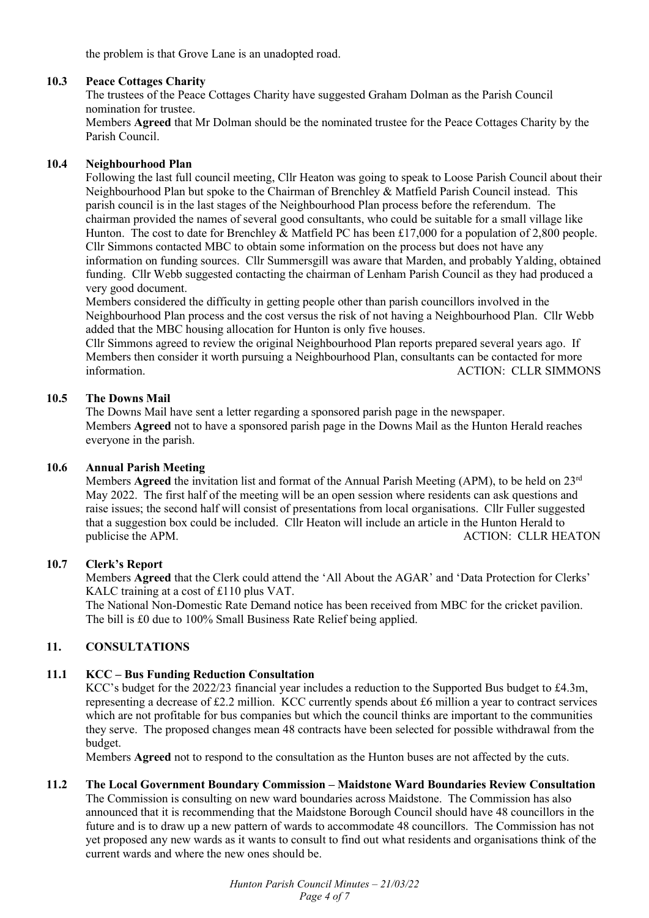the problem is that Grove Lane is an unadopted road.

### **10.3 Peace Cottages Charity**

The trustees of the Peace Cottages Charity have suggested Graham Dolman as the Parish Council nomination for trustee.

Members **Agreed** that Mr Dolman should be the nominated trustee for the Peace Cottages Charity by the Parish Council.

### **10.4 Neighbourhood Plan**

Following the last full council meeting, Cllr Heaton was going to speak to Loose Parish Council about their Neighbourhood Plan but spoke to the Chairman of Brenchley & Matfield Parish Council instead. This parish council is in the last stages of the Neighbourhood Plan process before the referendum. The chairman provided the names of several good consultants, who could be suitable for a small village like Hunton. The cost to date for Brenchley & Matfield PC has been £17,000 for a population of 2,800 people. Cllr Simmons contacted MBC to obtain some information on the process but does not have any information on funding sources. Cllr Summersgill was aware that Marden, and probably Yalding, obtained funding. Cllr Webb suggested contacting the chairman of Lenham Parish Council as they had produced a very good document.

Members considered the difficulty in getting people other than parish councillors involved in the Neighbourhood Plan process and the cost versus the risk of not having a Neighbourhood Plan. Cllr Webb added that the MBC housing allocation for Hunton is only five houses.

Cllr Simmons agreed to review the original Neighbourhood Plan reports prepared several years ago. If Members then consider it worth pursuing a Neighbourhood Plan, consultants can be contacted for more information. ACTION: CLLR SIMMONS

### **10.5 The Downs Mail**

The Downs Mail have sent a letter regarding a sponsored parish page in the newspaper. Members **Agreed** not to have a sponsored parish page in the Downs Mail as the Hunton Herald reaches everyone in the parish.

## **10.6 Annual Parish Meeting**

Members **Agreed** the invitation list and format of the Annual Parish Meeting (APM), to be held on 23rd May 2022. The first half of the meeting will be an open session where residents can ask questions and raise issues; the second half will consist of presentations from local organisations. Cllr Fuller suggested that a suggestion box could be included. Cllr Heaton will include an article in the Hunton Herald to publicise the APM. ACTION: CLLR HEATON

#### **10.7 Clerk's Report**

Members **Agreed** that the Clerk could attend the 'All About the AGAR' and 'Data Protection for Clerks' KALC training at a cost of £110 plus VAT.

The National Non-Domestic Rate Demand notice has been received from MBC for the cricket pavilion. The bill is £0 due to 100% Small Business Rate Relief being applied.

## **11. CONSULTATIONS**

## **11.1 KCC – Bus Funding Reduction Consultation**

KCC's budget for the 2022/23 financial year includes a reduction to the Supported Bus budget to £4.3m, representing a decrease of £2.2 million. KCC currently spends about £6 million a year to contract services which are not profitable for bus companies but which the council thinks are important to the communities they serve. The proposed changes mean 48 contracts have been selected for possible withdrawal from the budget.

Members **Agreed** not to respond to the consultation as the Hunton buses are not affected by the cuts.

## **11.2 The Local Government Boundary Commission – Maidstone Ward Boundaries Review Consultation**

The Commission is consulting on new ward boundaries across Maidstone. The Commission has also announced that it is recommending that the Maidstone Borough Council should have 48 councillors in the future and is to draw up a new pattern of wards to accommodate 48 councillors. The Commission has not yet proposed any new wards as it wants to consult to find out what residents and organisations think of the current wards and where the new ones should be.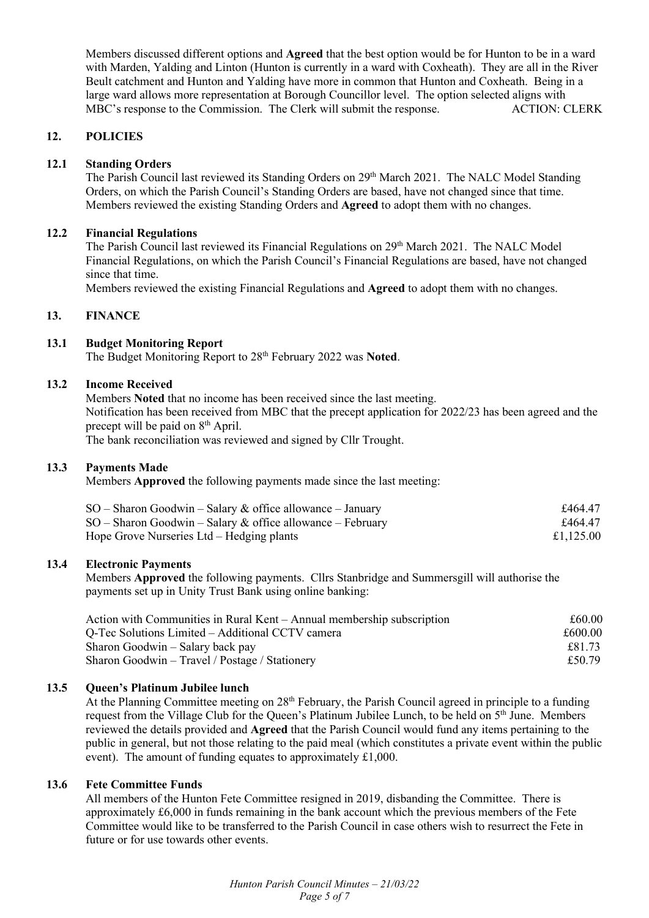Members discussed different options and **Agreed** that the best option would be for Hunton to be in a ward with Marden, Yalding and Linton (Hunton is currently in a ward with Coxheath). They are all in the River Beult catchment and Hunton and Yalding have more in common that Hunton and Coxheath. Being in a large ward allows more representation at Borough Councillor level. The option selected aligns with MBC's response to the Commission. The Clerk will submit the response. ACTION: CLERK

## **12. POLICIES**

## **12.1 Standing Orders**

The Parish Council last reviewed its Standing Orders on 29th March 2021. The NALC Model Standing Orders, on which the Parish Council's Standing Orders are based, have not changed since that time. Members reviewed the existing Standing Orders and **Agreed** to adopt them with no changes.

### **12.2 Financial Regulations**

The Parish Council last reviewed its Financial Regulations on 29<sup>th</sup> March 2021. The NALC Model Financial Regulations, on which the Parish Council's Financial Regulations are based, have not changed since that time.

Members reviewed the existing Financial Regulations and **Agreed** to adopt them with no changes.

### **13. FINANCE**

### **13.1 Budget Monitoring Report**

The Budget Monitoring Report to 28th February 2022 was **Noted**.

## **13.2 Income Received**

Members **Noted** that no income has been received since the last meeting. Notification has been received from MBC that the precept application for 2022/23 has been agreed and the precept will be paid on 8<sup>th</sup> April.

The bank reconciliation was reviewed and signed by Cllr Trought.

#### **13.3 Payments Made**

Members **Approved** the following payments made since the last meeting:

| $SO -$ Sharon Goodwin – Salary & office allowance – January<br>$SO -$ Sharon Goodwin – Salary & office allowance – February<br>Hope Grove Nurseries Ltd – Hedging plants | £464.47   |
|--------------------------------------------------------------------------------------------------------------------------------------------------------------------------|-----------|
|                                                                                                                                                                          | £464.47   |
|                                                                                                                                                                          | £1,125.00 |

#### **13.4 Electronic Payments**

Members **Approved** the following payments. Cllrs Stanbridge and Summersgill will authorise the payments set up in Unity Trust Bank using online banking:

| Action with Communities in Rural Kent – Annual membership subscription | £60.00  |
|------------------------------------------------------------------------|---------|
| Q-Tec Solutions Limited – Additional CCTV camera                       | £600.00 |
| Sharon Goodwin – Salary back pay                                       | £81.73  |
| Sharon Goodwin – Travel / Postage / Stationery                         | £50.79  |

## **13.5 Queen's Platinum Jubilee lunch**

At the Planning Committee meeting on 28<sup>th</sup> February, the Parish Council agreed in principle to a funding request from the Village Club for the Queen's Platinum Jubilee Lunch, to be held on 5<sup>th</sup> June. Members reviewed the details provided and **Agreed** that the Parish Council would fund any items pertaining to the public in general, but not those relating to the paid meal (which constitutes a private event within the public event). The amount of funding equates to approximately £1,000.

#### **13.6 Fete Committee Funds**

All members of the Hunton Fete Committee resigned in 2019, disbanding the Committee. There is approximately £6,000 in funds remaining in the bank account which the previous members of the Fete Committee would like to be transferred to the Parish Council in case others wish to resurrect the Fete in future or for use towards other events.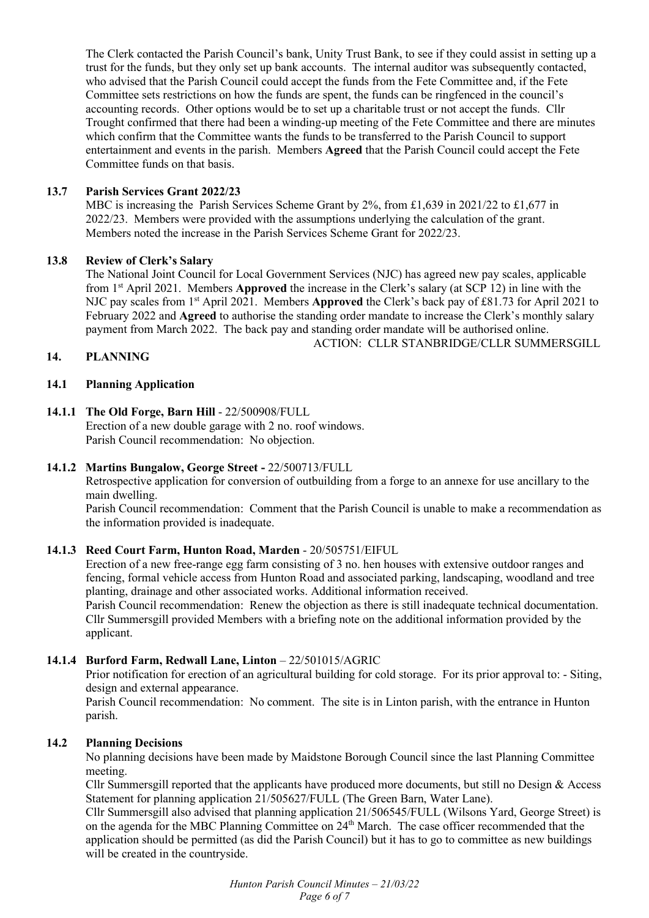The Clerk contacted the Parish Council's bank, Unity Trust Bank, to see if they could assist in setting up a trust for the funds, but they only set up bank accounts. The internal auditor was subsequently contacted, who advised that the Parish Council could accept the funds from the Fete Committee and, if the Fete Committee sets restrictions on how the funds are spent, the funds can be ringfenced in the council's accounting records. Other options would be to set up a charitable trust or not accept the funds. Cllr Trought confirmed that there had been a winding-up meeting of the Fete Committee and there are minutes which confirm that the Committee wants the funds to be transferred to the Parish Council to support entertainment and events in the parish. Members **Agreed** that the Parish Council could accept the Fete Committee funds on that basis.

### **13.7 Parish Services Grant 2022/23**

MBC is increasing the Parish Services Scheme Grant by 2%, from £1,639 in 2021/22 to £1,677 in 2022/23. Members were provided with the assumptions underlying the calculation of the grant. Members noted the increase in the Parish Services Scheme Grant for 2022/23.

#### **13.8 Review of Clerk's Salary**

The National Joint Council for Local Government Services (NJC) has agreed new pay scales, applicable from 1st April 2021. Members **Approved** the increase in the Clerk's salary (at SCP 12) in line with the NJC pay scales from 1st April 2021. Members **Approved** the Clerk's back pay of £81.73 for April 2021 to February 2022 and **Agreed** to authorise the standing order mandate to increase the Clerk's monthly salary payment from March 2022. The back pay and standing order mandate will be authorised online. ACTION: CLLR STANBRIDGE/CLLR SUMMERSGILL

### **14. PLANNING**

### **14.1 Planning Application**

### **14.1.1 The Old Forge, Barn Hill** - 22/500908/FULL

Erection of a new double garage with 2 no. roof windows. Parish Council recommendation: No objection.

#### **14.1.2 Martins Bungalow, George Street -** 22/500713/FULL

Retrospective application for conversion of outbuilding from a forge to an annexe for use ancillary to the main dwelling.

Parish Council recommendation: Comment that the Parish Council is unable to make a recommendation as the information provided is inadequate.

#### **14.1.3 Reed Court Farm, Hunton Road, Marden** - 20/505751/EIFUL

Erection of a new free-range egg farm consisting of 3 no. hen houses with extensive outdoor ranges and fencing, formal vehicle access from Hunton Road and associated parking, landscaping, woodland and tree planting, drainage and other associated works. Additional information received.

Parish Council recommendation: Renew the objection as there is still inadequate technical documentation. Cllr Summersgill provided Members with a briefing note on the additional information provided by the applicant.

## **14.1.4 Burford Farm, Redwall Lane, Linton** – 22/501015/AGRIC

Prior notification for erection of an agricultural building for cold storage. For its prior approval to: - Siting, design and external appearance.

Parish Council recommendation: No comment. The site is in Linton parish, with the entrance in Hunton parish.

#### **14.2 Planning Decisions**

No planning decisions have been made by Maidstone Borough Council since the last Planning Committee meeting.

Cllr Summersgill reported that the applicants have produced more documents, but still no Design & Access Statement for planning application 21/505627/FULL (The Green Barn, Water Lane).

Cllr Summersgill also advised that planning application 21/506545/FULL (Wilsons Yard, George Street) is on the agenda for the MBC Planning Committee on 24<sup>th</sup> March. The case officer recommended that the application should be permitted (as did the Parish Council) but it has to go to committee as new buildings will be created in the countryside.